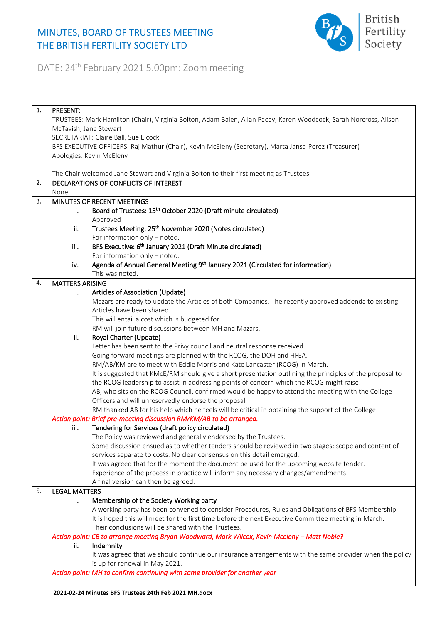## MINUTES, BOARD OF TRUSTEES MEETING THE BRITISH FERTILITY SOCIETY LTD



DATE: 24th February 2021 5.00pm: Zoom meeting

| 1. | <b>PRESENT:</b>                                                                                                   |                                                                                                           |  |
|----|-------------------------------------------------------------------------------------------------------------------|-----------------------------------------------------------------------------------------------------------|--|
|    | TRUSTEES: Mark Hamilton (Chair), Virginia Bolton, Adam Balen, Allan Pacey, Karen Woodcock, Sarah Norcross, Alison |                                                                                                           |  |
|    | McTavish, Jane Stewart                                                                                            |                                                                                                           |  |
|    |                                                                                                                   | SECRETARIAT: Claire Ball, Sue Elcock                                                                      |  |
|    |                                                                                                                   | BFS EXECUTIVE OFFICERS: Raj Mathur (Chair), Kevin McEleny (Secretary), Marta Jansa-Perez (Treasurer)      |  |
|    |                                                                                                                   | Apologies: Kevin McEleny                                                                                  |  |
|    |                                                                                                                   |                                                                                                           |  |
|    |                                                                                                                   | The Chair welcomed Jane Stewart and Virginia Bolton to their first meeting as Trustees.                   |  |
| 2. |                                                                                                                   | DECLARATIONS OF CONFLICTS OF INTEREST                                                                     |  |
|    | None                                                                                                              |                                                                                                           |  |
| 3. |                                                                                                                   | MINUTES OF RECENT MEETINGS                                                                                |  |
|    | i.                                                                                                                | Board of Trustees: 15 <sup>th</sup> October 2020 (Draft minute circulated)                                |  |
|    |                                                                                                                   | Approved                                                                                                  |  |
|    | ii.                                                                                                               | Trustees Meeting: 25 <sup>th</sup> November 2020 (Notes circulated)                                       |  |
|    |                                                                                                                   | For information only - noted.                                                                             |  |
|    | iii.                                                                                                              | BFS Executive: 6 <sup>th</sup> January 2021 (Draft Minute circulated)                                     |  |
|    |                                                                                                                   | For information only - noted.                                                                             |  |
|    | iv.                                                                                                               | Agenda of Annual General Meeting 9 <sup>th</sup> January 2021 (Circulated for information)                |  |
|    |                                                                                                                   | This was noted.                                                                                           |  |
| 4. | <b>MATTERS ARISING</b>                                                                                            |                                                                                                           |  |
|    | i.                                                                                                                | Articles of Association (Update)                                                                          |  |
|    |                                                                                                                   | Mazars are ready to update the Articles of both Companies. The recently approved addenda to existing      |  |
|    |                                                                                                                   | Articles have been shared.                                                                                |  |
|    |                                                                                                                   | This will entail a cost which is budgeted for.                                                            |  |
|    |                                                                                                                   | RM will join future discussions between MH and Mazars.                                                    |  |
|    | ii.                                                                                                               | Royal Charter (Update)                                                                                    |  |
|    |                                                                                                                   | Letter has been sent to the Privy council and neutral response received.                                  |  |
|    |                                                                                                                   | Going forward meetings are planned with the RCOG, the DOH and HFEA.                                       |  |
|    |                                                                                                                   | RM/AB/KM are to meet with Eddie Morris and Kate Lancaster (RCOG) in March.                                |  |
|    |                                                                                                                   | It is suggested that KMcE/RM should give a short presentation outlining the principles of the proposal to |  |
|    |                                                                                                                   | the RCOG leadership to assist in addressing points of concern which the RCOG might raise.                 |  |
|    |                                                                                                                   | AB, who sits on the RCOG Council, confirmed would be happy to attend the meeting with the College         |  |
|    |                                                                                                                   | Officers and will unreservedly endorse the proposal.                                                      |  |
|    |                                                                                                                   | RM thanked AB for his help which he feels will be critical in obtaining the support of the College.       |  |
|    |                                                                                                                   | Action point: Brief pre-meeting discussion RM/KM/AB to be arranged.                                       |  |
|    | iii.                                                                                                              | Tendering for Services (draft policy circulated)                                                          |  |
|    |                                                                                                                   | The Policy was reviewed and generally endorsed by the Trustees.                                           |  |
|    |                                                                                                                   | Some discussion ensued as to whether tenders should be reviewed in two stages: scope and content of       |  |
|    |                                                                                                                   | services separate to costs. No clear consensus on this detail emerged.                                    |  |
|    |                                                                                                                   | It was agreed that for the moment the document be used for the upcoming website tender.                   |  |
|    |                                                                                                                   | Experience of the process in practice will inform any necessary changes/amendments.                       |  |
|    |                                                                                                                   | A final version can then be agreed.                                                                       |  |
| 5. | <b>LEGAL MATTERS</b>                                                                                              |                                                                                                           |  |
|    | i.                                                                                                                | Membership of the Society Working party                                                                   |  |
|    |                                                                                                                   | A working party has been convened to consider Procedures, Rules and Obligations of BFS Membership.        |  |
|    |                                                                                                                   | It is hoped this will meet for the first time before the next Executive Committee meeting in March.       |  |
|    |                                                                                                                   | Their conclusions will be shared with the Trustees.                                                       |  |
|    |                                                                                                                   | Action point: CB to arrange meeting Bryan Woodward, Mark Wilcox, Kevin Mceleny - Matt Noble?              |  |
|    | ii.                                                                                                               | Indemnity                                                                                                 |  |
|    |                                                                                                                   | It was agreed that we should continue our insurance arrangements with the same provider when the policy   |  |
|    |                                                                                                                   | is up for renewal in May 2021.                                                                            |  |
|    |                                                                                                                   | Action point: MH to confirm continuing with same provider for another year                                |  |
|    |                                                                                                                   |                                                                                                           |  |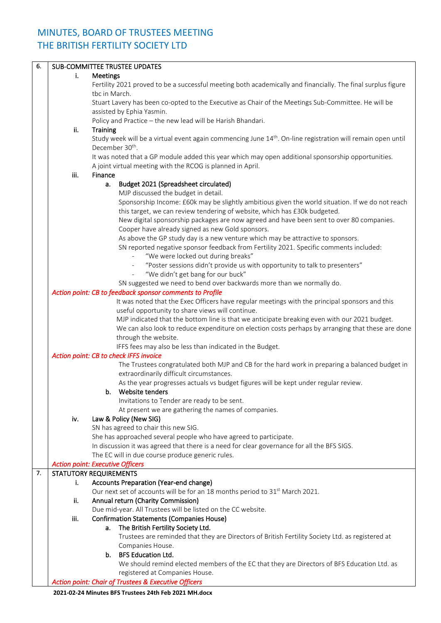## MINUTES, BOARD OF TRUSTEES MEETING THE BRITISH FERTILITY SOCIETY LTD

| 6. |      | <b>SUB-COMMITTEE TRUSTEE UPDATES</b>                                                                                    |
|----|------|-------------------------------------------------------------------------------------------------------------------------|
|    | i.   | Meetings                                                                                                                |
|    |      | Fertility 2021 proved to be a successful meeting both academically and financially. The final surplus figure            |
|    |      | tbc in March.                                                                                                           |
|    |      | Stuart Lavery has been co-opted to the Executive as Chair of the Meetings Sub-Committee. He will be                     |
|    |      | assisted by Ephia Yasmin.                                                                                               |
|    |      | Policy and Practice - the new lead will be Harish Bhandari.                                                             |
|    | ii.  | Training                                                                                                                |
|    |      | Study week will be a virtual event again commencing June 14 <sup>th</sup> . On-line registration will remain open until |
|    |      | December 30 <sup>th</sup> .                                                                                             |
|    |      |                                                                                                                         |
|    |      | It was noted that a GP module added this year which may open additional sponsorship opportunities.                      |
|    |      | A joint virtual meeting with the RCOG is planned in April.                                                              |
|    | iii. | Finance                                                                                                                 |
|    |      | Budget 2021 (Spreadsheet circulated)<br>а.                                                                              |
|    |      | MJP discussed the budget in detail.                                                                                     |
|    |      | Sponsorship Income: £60k may be slightly ambitious given the world situation. If we do not reach                        |
|    |      | this target, we can review tendering of website, which has £30k budgeted.                                               |
|    |      | New digital sponsorship packages are now agreed and have been sent to over 80 companies.                                |
|    |      | Cooper have already signed as new Gold sponsors.                                                                        |
|    |      | As above the GP study day is a new venture which may be attractive to sponsors.                                         |
|    |      | SN reported negative sponsor feedback from Fertility 2021. Specific comments included:                                  |
|    |      | "We were locked out during breaks"<br>$\equiv$                                                                          |
|    |      | "Poster sessions didn't provide us with opportunity to talk to presenters"                                              |
|    |      | "We didn't get bang for our buck"<br>$\equiv$                                                                           |
|    |      | SN suggested we need to bend over backwards more than we normally do.                                                   |
|    |      | Action point: CB to feedback sponsor comments to Profile                                                                |
|    |      | It was noted that the Exec Officers have regular meetings with the principal sponsors and this                          |
|    |      |                                                                                                                         |
|    |      | useful opportunity to share views will continue.                                                                        |
|    |      | MJP indicated that the bottom line is that we anticipate breaking even with our 2021 budget.                            |
|    |      | We can also look to reduce expenditure on election costs perhaps by arranging that these are done                       |
|    |      | through the website.                                                                                                    |
|    |      | IFFS fees may also be less than indicated in the Budget.                                                                |
|    |      | Action point: CB to check IFFS invoice                                                                                  |
|    |      | The Trustees congratulated both MJP and CB for the hard work in preparing a balanced budget in                          |
|    |      | extraordinarily difficult circumstances.                                                                                |
|    |      | As the year progresses actuals vs budget figures will be kept under regular review.                                     |
|    |      | Website tenders<br>b.                                                                                                   |
|    |      | Invitations to Tender are ready to be sent.                                                                             |
|    |      | At present we are gathering the names of companies.                                                                     |
|    | iv.  | Law & Policy (New SIG)                                                                                                  |
|    |      | SN has agreed to chair this new SIG.                                                                                    |
|    |      | She has approached several people who have agreed to participate.                                                       |
|    |      | In discussion it was agreed that there is a need for clear governance for all the BFS SIGS.                             |
|    |      | The EC will in due course produce generic rules.                                                                        |
|    |      | <b>Action point: Executive Officers</b>                                                                                 |
| 7. |      | <b>STATUTORY REQUIREMENTS</b>                                                                                           |
|    | i.   | Accounts Preparation (Year-end change)                                                                                  |
|    |      | Our next set of accounts will be for an 18 months period to 31 <sup>st</sup> March 2021.                                |
|    | ii.  | Annual return (Charity Commission)                                                                                      |
|    |      | Due mid-year. All Trustees will be listed on the CC website.                                                            |
|    |      |                                                                                                                         |
|    | iii. | <b>Confirmation Statements (Companies House)</b>                                                                        |
|    |      | The British Fertility Society Ltd.<br>a.                                                                                |
|    |      | Trustees are reminded that they are Directors of British Fertility Society Ltd. as registered at                        |
|    |      | Companies House.                                                                                                        |
|    |      | b. BFS Education Ltd.                                                                                                   |
|    |      | We should remind elected members of the EC that they are Directors of BFS Education Ltd. as                             |
|    |      | registered at Companies House.                                                                                          |
|    |      | <b>Action point: Chair of Trustees &amp; Executive Officers</b>                                                         |